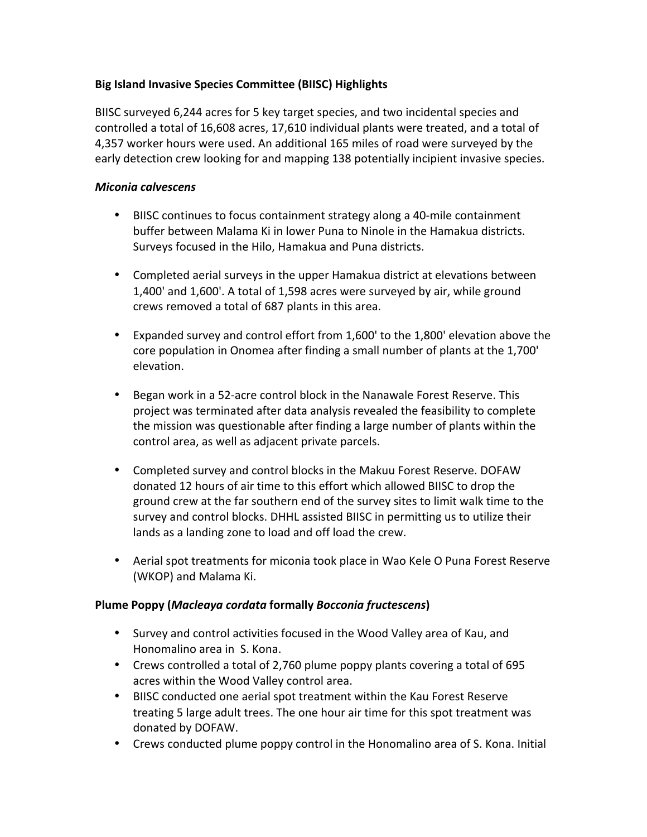## **Big Island Invasive Species Committee (BIISC) Highlights**

BIISC surveyed 6,244 acres for 5 key target species, and two incidental species and controlled a total of 16,608 acres, 17,610 individual plants were treated, and a total of 4,357 worker hours were used. An additional 165 miles of road were surveyed by the early detection crew looking for and mapping 138 potentially incipient invasive species.

#### *Miconia calvescens*

- BIISC continues to focus containment strategy along a 40-mile containment buffer between Malama Ki in lower Puna to Ninole in the Hamakua districts. Surveys focused in the Hilo, Hamakua and Puna districts.
- Completed aerial surveys in the upper Hamakua district at elevations between 1,400' and 1,600'. A total of 1,598 acres were surveyed by air, while ground crews removed a total of 687 plants in this area.
- Expanded survey and control effort from 1,600' to the 1,800' elevation above the core population in Onomea after finding a small number of plants at the 1,700' elevation.
- Began work in a 52-acre control block in the Nanawale Forest Reserve. This project was terminated after data analysis revealed the feasibility to complete the mission was questionable after finding a large number of plants within the control area, as well as adjacent private parcels.
- Completed survey and control blocks in the Makuu Forest Reserve. DOFAW donated 12 hours of air time to this effort which allowed BIISC to drop the ground crew at the far southern end of the survey sites to limit walk time to the survey and control blocks. DHHL assisted BIISC in permitting us to utilize their lands as a landing zone to load and off load the crew.
- Aerial spot treatments for miconia took place in Wao Kele O Puna Forest Reserve (WKOP) and Malama Ki.

## **Plume Poppy (Macleaya cordata formally Bocconia fructescens)**

- Survey and control activities focused in the Wood Valley area of Kau, and Honomalino area in S. Kona.
- Crews controlled a total of 2,760 plume poppy plants covering a total of 695 acres within the Wood Valley control area.
- BIISC conducted one aerial spot treatment within the Kau Forest Reserve treating 5 large adult trees. The one hour air time for this spot treatment was donated by DOFAW.
- Crews conducted plume poppy control in the Honomalino area of S. Kona. Initial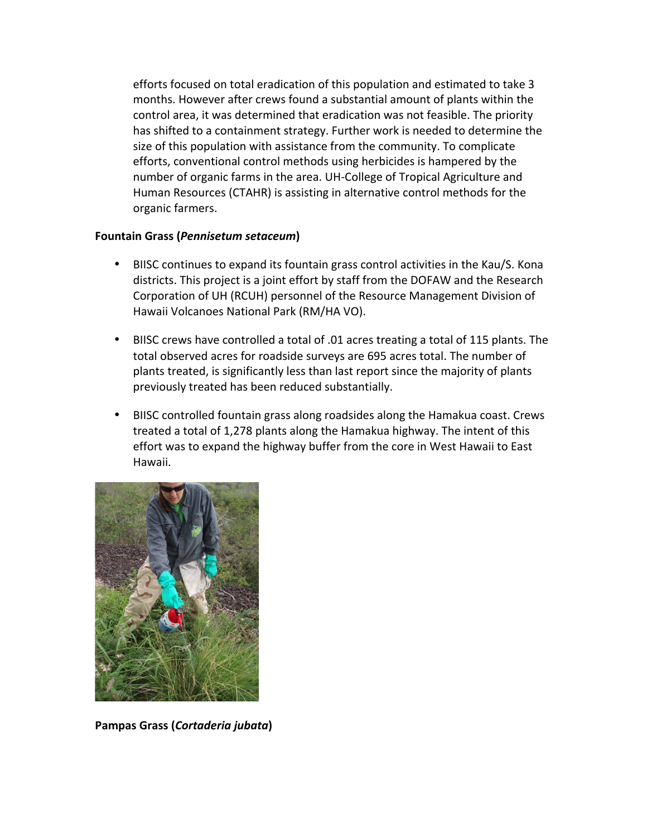efforts focused on total eradication of this population and estimated to take 3 months. However after crews found a substantial amount of plants within the control area, it was determined that eradication was not feasible. The priority has shifted to a containment strategy. Further work is needed to determine the size of this population with assistance from the community. To complicate efforts, conventional control methods using herbicides is hampered by the number of organic farms in the area. UH-College of Tropical Agriculture and Human Resources (CTAHR) is assisting in alternative control methods for the organic farmers.

#### **Fountain Grass (Pennisetum setaceum)**

- BIISC continues to expand its fountain grass control activities in the Kau/S. Kona districts. This project is a joint effort by staff from the DOFAW and the Research Corporation of UH (RCUH) personnel of the Resource Management Division of Hawaii Volcanoes National Park (RM/HA VO).
- BIISC crews have controlled a total of .01 acres treating a total of 115 plants. The total observed acres for roadside surveys are 695 acres total. The number of plants treated, is significantly less than last report since the majority of plants previously treated has been reduced substantially.
- BIISC controlled fountain grass along roadsides along the Hamakua coast. Crews treated a total of 1,278 plants along the Hamakua highway. The intent of this effort was to expand the highway buffer from the core in West Hawaii to East Hawaii.



**Pampas Grass (Cortaderia jubata)**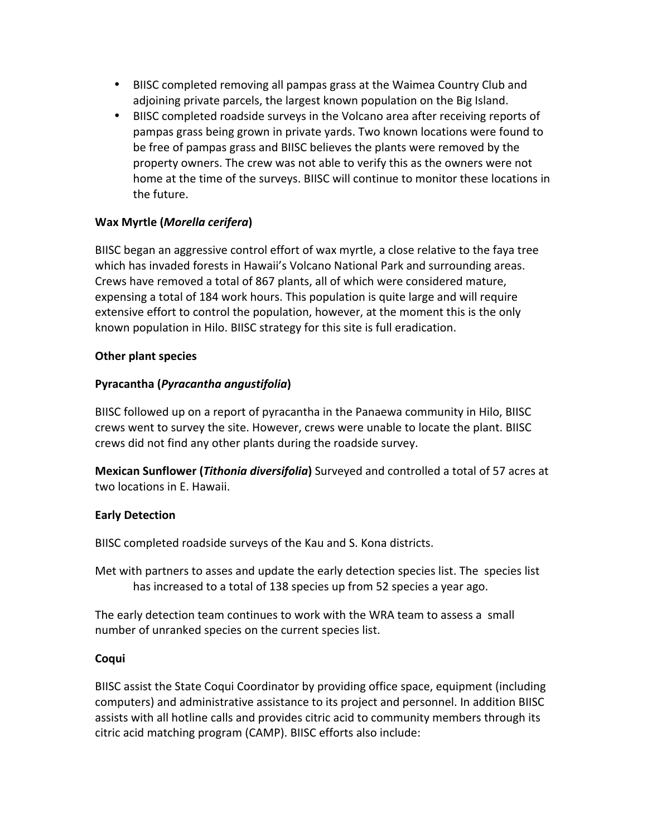- BIISC completed removing all pampas grass at the Waimea Country Club and adjoining private parcels, the largest known population on the Big Island.
- BIISC completed roadside surveys in the Volcano area after receiving reports of pampas grass being grown in private yards. Two known locations were found to be free of pampas grass and BIISC believes the plants were removed by the property owners. The crew was not able to verify this as the owners were not home at the time of the surveys. BIISC will continue to monitor these locations in the future.

# **Wax Myrtle (***Morella cerifera***)**

BIISC began an aggressive control effort of wax myrtle, a close relative to the faya tree which has invaded forests in Hawaii's Volcano National Park and surrounding areas. Crews have removed a total of 867 plants, all of which were considered mature, expensing a total of 184 work hours. This population is quite large and will require extensive effort to control the population, however, at the moment this is the only known population in Hilo. BIISC strategy for this site is full eradication.

## **Other plant species**

## **Pyracantha (***Pyracantha angustifolia***)**

BIISC followed up on a report of pyracantha in the Panaewa community in Hilo, BIISC crews went to survey the site. However, crews were unable to locate the plant. BIISC crews did not find any other plants during the roadside survey.

**Mexican Sunflower (***Tithonia diversifolia***)** Surveyed and controlled a total of 57 acres at two locations in E. Hawaii.

## **Early Detection**

BIISC completed roadside surveys of the Kau and S. Kona districts.

Met with partners to asses and update the early detection species list. The species list has increased to a total of 138 species up from 52 species a year ago.

The early detection team continues to work with the WRA team to assess a small number of unranked species on the current species list.

## Coqui

BIISC assist the State Coqui Coordinator by providing office space, equipment (including computers) and administrative assistance to its project and personnel. In addition BIISC assists with all hotline calls and provides citric acid to community members through its citric acid matching program (CAMP). BIISC efforts also include: